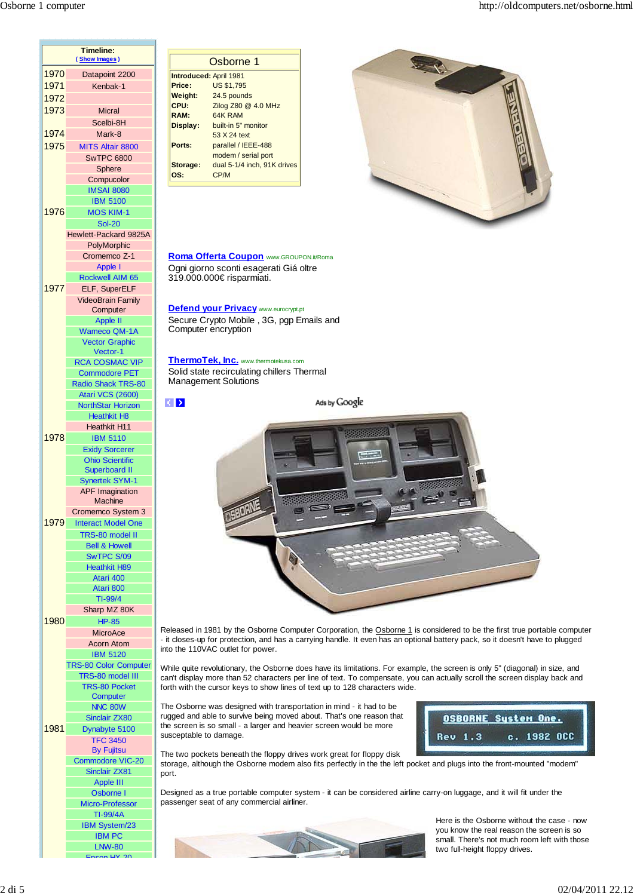

Osborne 1 **Introduced:** April 1981 **Price:** US \$1,795 **Weight:** 24.5 pounds **CPU:** Zilog Z80 @ 4.0 MHz **RAM:** 64K RAM **Display:** built-in 5" monitor 53 X 24 text **Ports:** parallel / IEEE-488 modem / serial port **Storage:** dual 5-1/4 inch, 91K drives **OS:** CP/M



**Roma Offerta Coupon** www.GROUPON.it/Roma Ogni giorno sconti esagerati Giá oltre 319.000.000€ risparmiati.

### **Defend your Privacy** www.eurocrypt.pt

Secure Crypto Mobile , 3G, pgp Emails and Computer encryption

#### **ThermoTek, Inc.** www.thermotekusa.com

Solid state recirculating chillers Thermal Management Solutions

 $\left| \left\langle \cdot \right| \right\rangle$ 

Ads by Google



Released in 1981 by the Osborne Computer Corporation, the Osborne 1 is considered to be the first true portable computer - it closes-up for protection, and has a carrying handle. It even has an optional battery pack, so it doesn't have to plugged into the 110VAC outlet for power.

While quite revolutionary, the Osborne does have its limitations. For example, the screen is only 5" (diagonal) in size, and can't display more than 52 characters per line of text. To compensate, you can actually scroll the screen display back and forth with the cursor keys to show lines of text up to 128 characters wide.

The Osborne was designed with transportation in mind - it had to be rugged and able to survive being moved about. That's one reason that the screen is so small - a larger and heavier screen would be more susceptable to damage.



The two pockets beneath the floppy drives work great for floppy disk storage, although the Osborne modem also fits perfectly in the the left pocket and plugs into the front-mounted "modem" port.

Designed as a true portable computer system - it can be considered airline carry-on luggage, and it will fit under the passenger seat of any commercial airliner.



Here is the Osborne without the case - now you know the real reason the screen is so small. There's not much room left with those two full-height floppy drives.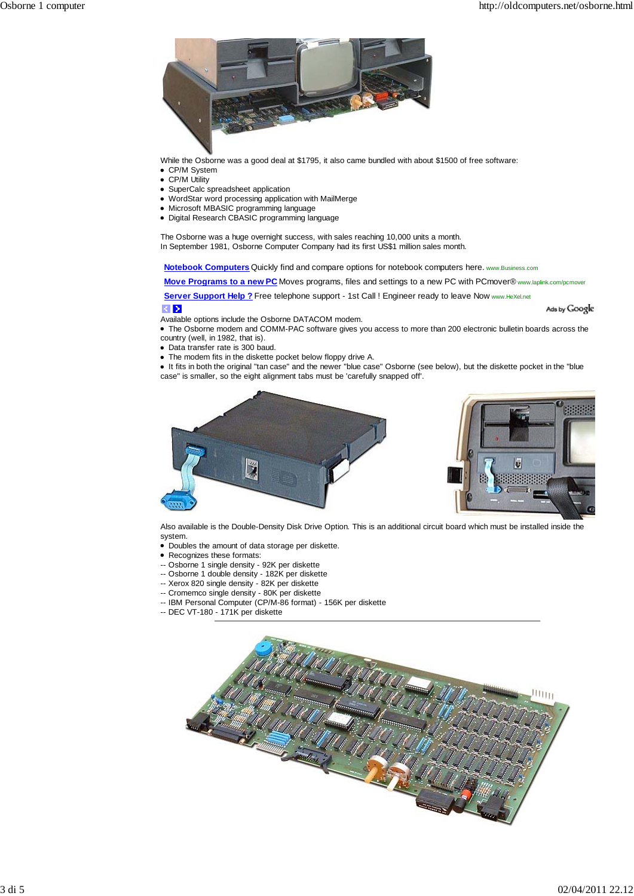Ads by Google



While the Osborne was a good deal at \$1795, it also came bundled with about \$1500 of free software:

- CP/M System
- CP/M Utility
- SuperCalc spreadsheet application
- WordStar word processing application with MailMerge
- Microsoft MBASIC programming language
- Digital Research CBASIC programming language

The Osborne was a huge overnight success, with sales reaching 10,000 units a month. In September 1981, Osborne Computer Company had its first US\$1 million sales month.

**Notebook Computers** Quickly find and compare options for notebook computers here. www.Business.com

**Move Programs to a new PC** Moves programs, files and settings to a new PC with PCmover® www.laplink.com/pcmover

Server Support Help ? Free telephone support - 1st Call ! Engineer ready to leave Now www.HeXel.net

# $| \langle | \rangle$

Available options include the Osborne DATACOM modem.

The Osborne modem and COMM-PAC software gives you access to more than 200 electronic bulletin boards across the country (well, in 1982, that is).

- Data transfer rate is 300 baud.
- The modem fits in the diskette pocket below floppy drive A.

It fits in both the original "tan case" and the newer "blue case" Osborne (see below), but the diskette pocket in the "blue case" is smaller, so the eight alignment tabs must be 'carefully snapped off'.



Also available is the Double-Density Disk Drive Option. This is an additional circuit board which must be installed inside the system.

- Doubles the amount of data storage per diskette.
- Recognizes these formats:
- -- Osborne 1 single density 92K per diskette
- -- Osborne 1 double density 182K per diskette
- -- Xerox 820 single density 82K per diskette
- -- Cromemco single density 80K per diskette
- -- IBM Personal Computer (CP/M-86 format) 156K per diskette
- -- DEC VT-180 171K per diskette

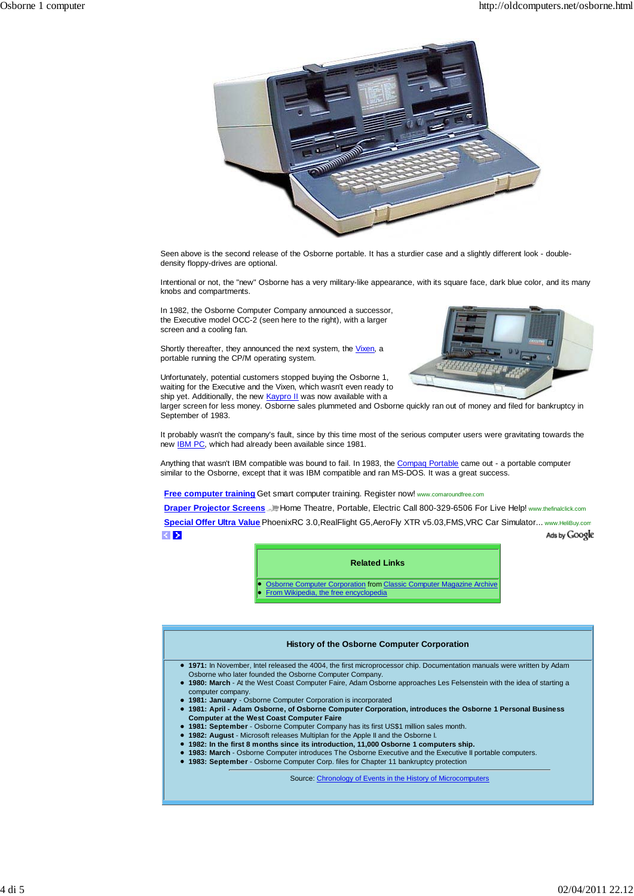

Seen above is the second release of the Osborne portable. It has a sturdier case and a slightly different look - doubledensity floppy-drives are optional.

Intentional or not, the "new" Osborne has a very military-like appearance, with its square face, dark blue color, and its many knobs and compartments.

In 1982, the Osborne Computer Company announced a successor, the Executive model OCC-2 (seen here to the right), with a larger screen and a cooling fan.

Shortly thereafter, they announced the next system, the Vixen, a portable running the CP/M operating system.

Unfortunately, potential customers stopped buying the Osborne 1, waiting for the Executive and the Vixen, which wasn't even ready to ship yet. Additionally, the new **Kaypro II** was now available with a



larger screen for less money. Osborne sales plummeted and Osborne quickly ran out of money and filed for bankruptcy in September of 1983.

It probably wasn't the company's fault, since by this time most of the serious computer users were gravitating towards the new **IBM PC**, which had already been available since 1981.

Anything that wasn't IBM compatible was bound to fail. In 1983, the Compaq Portable came out - a portable computer similar to the Osborne, except that it was IBM compatible and ran MS-DOS. It was a great success.

**Free computer training** Get smart computer training. Register now! www.comaroundfree.com

**Draper Projector Screens J. Home Theatre, Portable, Electric Call 800-329-6506 For Live Help! www.thefinalclick.com** 

**Special Offer Ultra Value** PhoenixRC 3.0,RealFlight G5,AeroFly XTR v5.03,FMS,VRC Car Simulator... www.HeliBuy.com  $\left| \left\langle \right| \right\rangle$ Ads by Google

## **Related Links**

Osborne Computer Corporation from Classic Computer Magazine Archive From Wikipedia, the free encyclopedia

#### **History of the Osborne Computer Corporation**

- **1971:** In November, Intel released the 4004, the first microprocessor chip. Documentation manuals were written by Adam Osborne who later founded the Osborne Computer Company.
- **1980: March** At the West Coast Computer Faire, Adam Osborne approaches Les Felsenstein with the idea of starting a computer company.
- **1981: January** Osborne Computer Corporation is incorporated
- **1981: April Adam Osborne, of Osborne Computer Corporation, introduces the Osborne 1 Personal Business Computer at the West Coast Computer Faire**
- **1981: September** Osborne Computer Company has its first US\$1 million sales month.
- **1982: August** Microsoft releases Multiplan for the Apple II and the Osborne I.
- **1982: In the first 8 months since its introduction, 11,000 Osborne 1 computers ship.**
- **1983: March** Osborne Computer introduces The Osborne Executive and the Executive II portable computers.
	- **1983: September** Osborne Computer Corp. files for Chapter 11 bankruptcy protection

Source: Chronology of Events in the History of Microcomputers